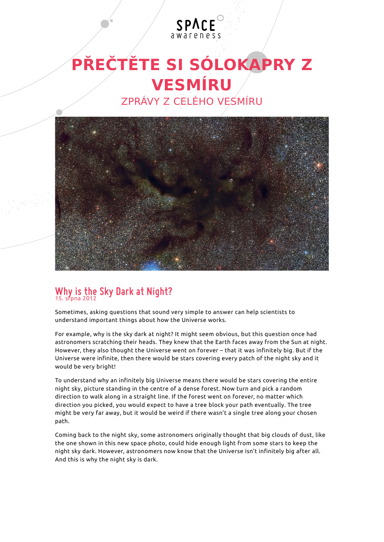

## **VESMÍRU** ZPRÁVY Z CELÉHO VESMÍRU



## **Why is the Sky Dark at Night?** 15. srpna 2012

Sometimes, asking questions that sound very simple to answer can help scientists to understand important things about how the Universe works.

For example, why is the sky dark at night? It might seem obvious, but this question once had astronomers scratching their heads. They knew that the Earth faces away from the Sun at night. However, they also thought the Universe went on forever – that it was infinitely big. But if the Universe were infinite, then there would be stars covering every patch of the night sky and it would be very bright!

To understand why an infinitely big Universe means there would be stars covering the entire night sky, picture standing in the centre of a dense forest. Now turn and pick a random direction to walk along in a straight line. If the forest went on forever, no matter which direction you picked, you would expect to have a tree block your path eventually. The tree might be very far away, but it would be weird if there wasn't a single tree along your chosen path.

Coming back to the night sky, some astronomers originally thought that big clouds of dust, like the one shown in this new space photo, could hide enough light from some stars to keep the night sky dark. However, astronomers now know that the Universe isn't infinitely big after all. And this is why the night sky is dark.